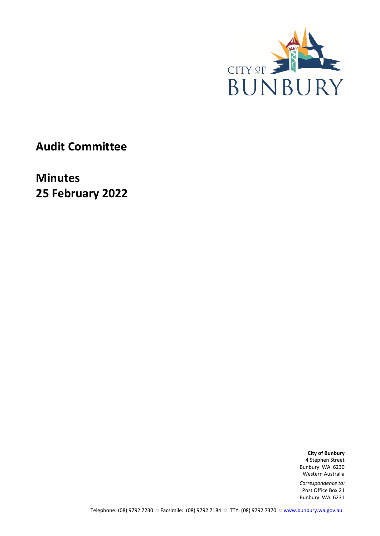

**Audit Committee**

**Minutes 25 February 2022**

> **City of Bunbury** 4 Stephen Street Bunbury WA 6230 Western Australia

*Correspondence to:* Post Office Box 21 Bunbury WA 6231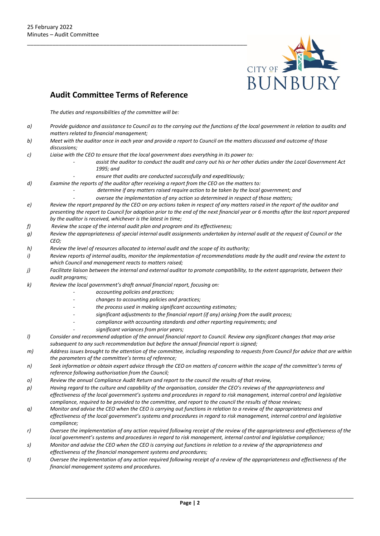

## **Audit Committee Terms of Reference**

*The duties and responsibilities of the committee will be:*

- *a) Provide guidance and assistance to Council as to the carrying out the functions of the local government in relation to audits and matters related to financial management;*
- *b) Meet with the auditor once in each year and provide a report to Council on the matters discussed and outcome of those discussions;*
- *c) Liaise with the CEO to ensure that the local government does everything in its power to:* 
	- *- assist the auditor to conduct the audit and carry out his or her other duties under the Local Government Act 1995; and* 
		- *- ensure that audits are conducted successfully and expeditiously;*
- *d) Examine the reports of the auditor after receiving a report from the CEO on the matters to:* 
	- *- determine if any matters raised require action to be taken by the local government; and*
	- *- oversee the implementation of any action so determined in respect of those matters;*
- *e) Review the report prepared by the CEO on any actions taken in respect of any matters raised in the report of the auditor and presenting the report to Council for adoption prior to the end of the next financial year or 6 months after the last report prepared by the auditor is received, whichever is the latest in time;*
- *f) Review the scope of the internal audit plan and program and its effectiveness;*
- *g) Review the appropriateness of special internal audit assignments undertaken by internal audit at the request of Council or the CEO;*
- *h) Review the level of resources allocated to internal audit and the scope of its authority;*
- *i) Review reports of internal audits, monitor the implementation of recommendations made by the audit and review the extent to which Council and management reacts to matters raised;*
- *j) Facilitate liaison between the internal and external auditor to promote compatibility, to the extent appropriate, between their audit programs;*
- *k) Review the local government's draft annual financial report, focusing on:* 
	- *- accounting policies and practices;*
	- *- changes to accounting policies and practices;*
	- *- the process used in making significant accounting estimates;*
	- *- significant adjustments to the financial report (if any) arising from the audit process;*
	- *- compliance with accounting standards and other reporting requirements; and* 
		- *- significant variances from prior years;*
- *l) Consider and recommend adoption of the annual financial report to Council. Review any significant changes that may arise subsequent to any such recommendation but before the annual financial report is signed;*
- *m) Address issues brought to the attention of the committee, including responding to requests from Council for advice that are within the parameters of the committee's terms of reference;*
- *n) Seek information or obtain expert advice through the CEO on matters of concern within the scope of the committee's terms of reference following authorisation from the Council;*
- *o) Review the annual Compliance Audit Return and report to the council the results of that review,*
- *p) Having regard to the culture and capability of the organisation, consider the CEO's reviews of the appropriateness and effectiveness of the local government's systems and procedures in regard to risk management, internal control and legislative compliance, required to be provided to the committee, and report to the council the results of those reviews;*
- *q) Monitor and advise the CEO when the CEO is carrying out functions in relation to a review of the appropriateness and effectiveness of the local government's systems and procedures in regard to risk management, internal control and legislative compliance;*
- *r) Oversee the implementation of any action required following receipt of the review of the appropriateness and effectiveness of the local government's systems and procedures in regard to risk management, internal control and legislative compliance;*
- *s) Monitor and advise the CEO when the CEO is carrying out functions in relation to a review of the appropriateness and effectiveness of the financial management systems and procedures;*
- *t) Oversee the implementation of any action required following receipt of a review of the appropriateness and effectiveness of the financial management systems and procedures.*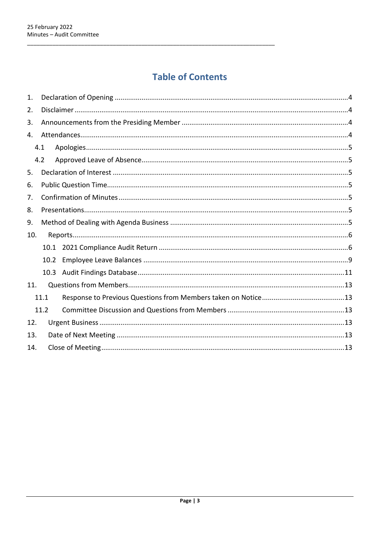# **Table of Contents**

| 1.   |      |  |  |  |  |
|------|------|--|--|--|--|
| 2.   |      |  |  |  |  |
| 3.   |      |  |  |  |  |
| 4.   |      |  |  |  |  |
|      | 4.1  |  |  |  |  |
|      | 4.2  |  |  |  |  |
| 5.   |      |  |  |  |  |
| 6.   |      |  |  |  |  |
| 7.   |      |  |  |  |  |
| 8.   |      |  |  |  |  |
| 9.   |      |  |  |  |  |
| 10.  |      |  |  |  |  |
|      |      |  |  |  |  |
|      | 10.2 |  |  |  |  |
|      |      |  |  |  |  |
| 11.  |      |  |  |  |  |
|      | 11.1 |  |  |  |  |
| 11.2 |      |  |  |  |  |
| 12.  |      |  |  |  |  |
| 13.  |      |  |  |  |  |
| 14.  |      |  |  |  |  |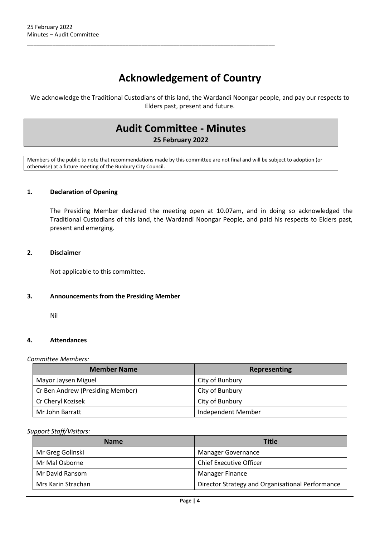# **Acknowledgement of Country**

\_\_\_\_\_\_\_\_\_\_\_\_\_\_\_\_\_\_\_\_\_\_\_\_\_\_\_\_\_\_\_\_\_\_\_\_\_\_\_\_\_\_\_\_\_\_\_\_\_\_\_\_\_\_\_\_\_\_\_\_\_\_\_\_\_\_\_\_\_\_\_\_\_\_\_\_\_\_

We acknowledge the Traditional Custodians of this land, the Wardandi Noongar people, and pay our respects to Elders past, present and future.

## **Audit Committee - Minutes**

### **25 February 2022**

Members of the public to note that recommendations made by this committee are not final and will be subject to adoption (or otherwise) at a future meeting of the Bunbury City Council.

#### <span id="page-3-0"></span>**1. Declaration of Opening**

The Presiding Member declared the meeting open at 10.07am, and in doing so acknowledged the Traditional Custodians of this land, the Wardandi Noongar People, and paid his respects to Elders past, present and emerging.

#### <span id="page-3-1"></span>**2. Disclaimer**

Not applicable to this committee.

#### <span id="page-3-2"></span>**3. Announcements from the Presiding Member**

#### Nil

#### <span id="page-3-3"></span>**4. Attendances**

*Committee Members:*

| <b>Member Name</b>               | Representing       |
|----------------------------------|--------------------|
| Mayor Jaysen Miguel              | City of Bunbury    |
| Cr Ben Andrew (Presiding Member) | City of Bunbury    |
| Cr Cheryl Kozisek                | City of Bunbury    |
| Mr John Barratt                  | Independent Member |

#### *Support Staff/Visitors:*

| <b>Name</b>        | <b>Title</b>                                     |
|--------------------|--------------------------------------------------|
| Mr Greg Golinski   | <b>Manager Governance</b>                        |
| Mr Mal Osborne     | <b>Chief Executive Officer</b>                   |
| Mr David Ransom    | <b>Manager Finance</b>                           |
| Mrs Karin Strachan | Director Strategy and Organisational Performance |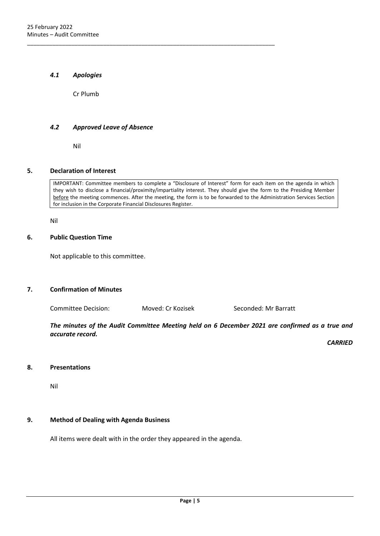#### <span id="page-4-0"></span>*4.1 Apologies*

Cr Plumb

#### <span id="page-4-1"></span>*4.2 Approved Leave of Absence*

\_\_\_\_\_\_\_\_\_\_\_\_\_\_\_\_\_\_\_\_\_\_\_\_\_\_\_\_\_\_\_\_\_\_\_\_\_\_\_\_\_\_\_\_\_\_\_\_\_\_\_\_\_\_\_\_\_\_\_\_\_\_\_\_\_\_\_\_\_\_\_\_\_\_\_\_\_\_

Nil

#### <span id="page-4-2"></span>**5. Declaration of Interest**

IMPORTANT: Committee members to complete a "Disclosure of Interest" form for each item on the agenda in which they wish to disclose a financial/proximity/impartiality interest. They should give the form to the Presiding Member before the meeting commences. After the meeting, the form is to be forwarded to the Administration Services Section for inclusion in the Corporate Financial Disclosures Register.

Nil

#### <span id="page-4-3"></span>**6. Public Question Time**

Not applicable to this committee.

## <span id="page-4-4"></span>**7. Confirmation of Minutes**

Committee Decision: Moved: Cr Kozisek Seconded: Mr Barratt

*The minutes of the Audit Committee Meeting held on 6 December 2021 are confirmed as a true and accurate record.*

*CARRIED*

#### <span id="page-4-5"></span>**8. Presentations**

Nil

#### <span id="page-4-6"></span>**9. Method of Dealing with Agenda Business**

All items were dealt with in the order they appeared in the agenda.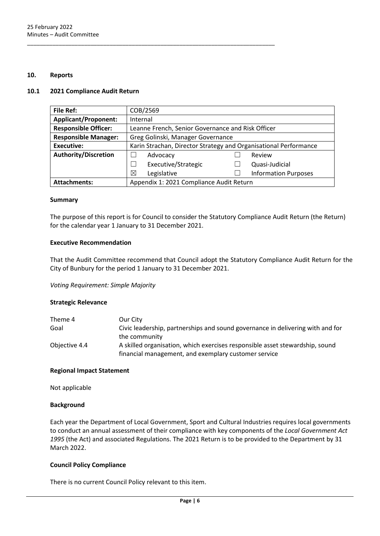#### <span id="page-5-0"></span>**10. Reports**

#### <span id="page-5-1"></span>**10.1 2021 Compliance Audit Return**

| <b>File Ref:</b>            | COB/2569                                                         |  |                             |
|-----------------------------|------------------------------------------------------------------|--|-----------------------------|
| <b>Applicant/Proponent:</b> | Internal                                                         |  |                             |
| <b>Responsible Officer:</b> | Leanne French, Senior Governance and Risk Officer                |  |                             |
| <b>Responsible Manager:</b> | Greg Golinski, Manager Governance                                |  |                             |
| <b>Executive:</b>           | Karin Strachan, Director Strategy and Organisational Performance |  |                             |
| <b>Authority/Discretion</b> | Advocacy                                                         |  | Review                      |
|                             | Executive/Strategic                                              |  | Quasi-Judicial              |
|                             | Legislative<br>⊠                                                 |  | <b>Information Purposes</b> |
| <b>Attachments:</b>         | Appendix 1: 2021 Compliance Audit Return                         |  |                             |

\_\_\_\_\_\_\_\_\_\_\_\_\_\_\_\_\_\_\_\_\_\_\_\_\_\_\_\_\_\_\_\_\_\_\_\_\_\_\_\_\_\_\_\_\_\_\_\_\_\_\_\_\_\_\_\_\_\_\_\_\_\_\_\_\_\_\_\_\_\_\_\_\_\_\_\_\_\_

#### **Summary**

The purpose of this report is for Council to consider the Statutory Compliance Audit Return (the Return) for the calendar year 1 January to 31 December 2021.

#### **Executive Recommendation**

That the Audit Committee recommend that Council adopt the Statutory Compliance Audit Return for the City of Bunbury for the period 1 January to 31 December 2021.

*Voting Requirement: Simple Majority* 

#### **Strategic Relevance**

| Theme 4       | Our City                                                                       |
|---------------|--------------------------------------------------------------------------------|
| Goal          | Civic leadership, partnerships and sound governance in delivering with and for |
|               | the community                                                                  |
| Objective 4.4 | A skilled organisation, which exercises responsible asset stewardship, sound   |
|               | financial management, and exemplary customer service                           |

#### **Regional Impact Statement**

Not applicable

#### **Background**

Each year the Department of Local Government, Sport and Cultural Industries requires local governments to conduct an annual assessment of their compliance with key components of the *Local Government Act 1995* (the Act) and associated Regulations. The 2021 Return is to be provided to the Department by 31 March 2022.

#### **Council Policy Compliance**

There is no current Council Policy relevant to this item.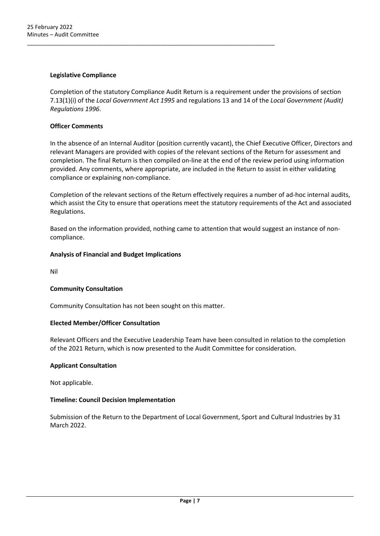#### **Legislative Compliance**

Completion of the statutory Compliance Audit Return is a requirement under the provisions of section 7.13(1)(i) of the *Local Government Act 1995* and regulations 13 and 14 of the *Local Government (Audit) Regulations 1996*.

\_\_\_\_\_\_\_\_\_\_\_\_\_\_\_\_\_\_\_\_\_\_\_\_\_\_\_\_\_\_\_\_\_\_\_\_\_\_\_\_\_\_\_\_\_\_\_\_\_\_\_\_\_\_\_\_\_\_\_\_\_\_\_\_\_\_\_\_\_\_\_\_\_\_\_\_\_\_

### **Officer Comments**

In the absence of an Internal Auditor (position currently vacant), the Chief Executive Officer, Directors and relevant Managers are provided with copies of the relevant sections of the Return for assessment and completion. The final Return is then compiled on-line at the end of the review period using information provided. Any comments, where appropriate, are included in the Return to assist in either validating compliance or explaining non-compliance.

Completion of the relevant sections of the Return effectively requires a number of ad-hoc internal audits, which assist the City to ensure that operations meet the statutory requirements of the Act and associated Regulations.

Based on the information provided, nothing came to attention that would suggest an instance of noncompliance.

### **Analysis of Financial and Budget Implications**

Nil

#### **Community Consultation**

Community Consultation has not been sought on this matter.

## **Elected Member/Officer Consultation**

Relevant Officers and the Executive Leadership Team have been consulted in relation to the completion of the 2021 Return, which is now presented to the Audit Committee for consideration.

#### **Applicant Consultation**

Not applicable.

## **Timeline: Council Decision Implementation**

Submission of the Return to the Department of Local Government, Sport and Cultural Industries by 31 March 2022.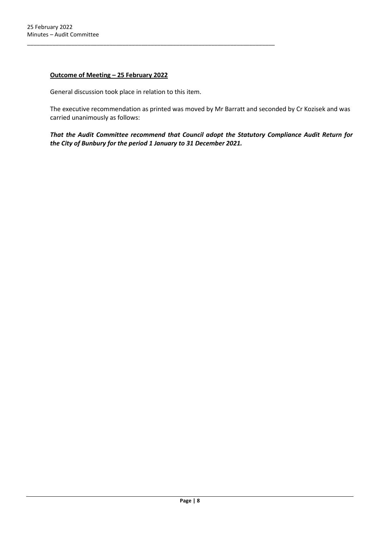### **Outcome of Meeting – 25 February 2022**

General discussion took place in relation to this item.

\_\_\_\_\_\_\_\_\_\_\_\_\_\_\_\_\_\_\_\_\_\_\_\_\_\_\_\_\_\_\_\_\_\_\_\_\_\_\_\_\_\_\_\_\_\_\_\_\_\_\_\_\_\_\_\_\_\_\_\_\_\_\_\_\_\_\_\_\_\_\_\_\_\_\_\_\_\_

The executive recommendation as printed was moved by Mr Barratt and seconded by Cr Kozisek and was carried unanimously as follows:

*That the Audit Committee recommend that Council adopt the Statutory Compliance Audit Return for the City of Bunbury for the period 1 January to 31 December 2021.*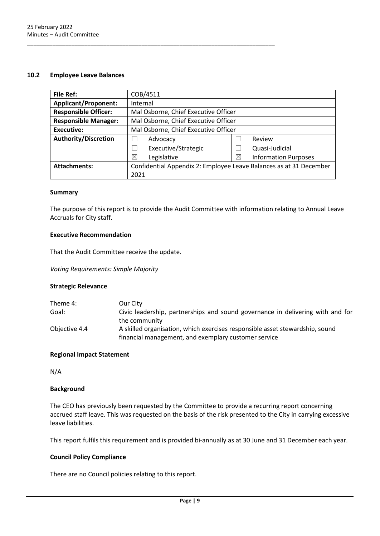#### <span id="page-8-0"></span>**10.2 Employee Leave Balances**

| <b>File Ref:</b>            | COB/4511                                                           |   |                             |
|-----------------------------|--------------------------------------------------------------------|---|-----------------------------|
| <b>Applicant/Proponent:</b> | Internal                                                           |   |                             |
| <b>Responsible Officer:</b> | Mal Osborne, Chief Executive Officer                               |   |                             |
| <b>Responsible Manager:</b> | Mal Osborne, Chief Executive Officer                               |   |                             |
| <b>Executive:</b>           | Mal Osborne, Chief Executive Officer                               |   |                             |
| Authority/Discretion        | Advocacy                                                           |   | Review                      |
|                             | Executive/Strategic<br>$\overline{\phantom{a}}$                    |   | Quasi-Judicial              |
|                             | ⊠<br>Legislative                                                   | ⊠ | <b>Information Purposes</b> |
| <b>Attachments:</b>         | Confidential Appendix 2: Employee Leave Balances as at 31 December |   |                             |
|                             | 2021                                                               |   |                             |

\_\_\_\_\_\_\_\_\_\_\_\_\_\_\_\_\_\_\_\_\_\_\_\_\_\_\_\_\_\_\_\_\_\_\_\_\_\_\_\_\_\_\_\_\_\_\_\_\_\_\_\_\_\_\_\_\_\_\_\_\_\_\_\_\_\_\_\_\_\_\_\_\_\_\_\_\_\_

#### **Summary**

The purpose of this report is to provide the Audit Committee with information relating to Annual Leave Accruals for City staff.

#### **Executive Recommendation**

That the Audit Committee receive the update.

*Voting Requirements: Simple Majority*

#### **Strategic Relevance**

| Theme 4:      | Our City                                                                       |
|---------------|--------------------------------------------------------------------------------|
| Goal:         | Civic leadership, partnerships and sound governance in delivering with and for |
|               | the community                                                                  |
| Objective 4.4 | A skilled organisation, which exercises responsible asset stewardship, sound   |
|               | financial management, and exemplary customer service                           |

#### **Regional Impact Statement**

N/A

#### **Background**

The CEO has previously been requested by the Committee to provide a recurring report concerning accrued staff leave. This was requested on the basis of the risk presented to the City in carrying excessive leave liabilities.

This report fulfils this requirement and is provided bi-annually as at 30 June and 31 December each year.

#### **Council Policy Compliance**

There are no Council policies relating to this report.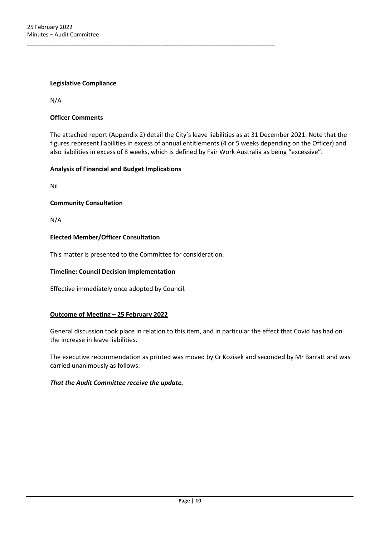#### **Legislative Compliance**

N/A

#### **Officer Comments**

The attached report (Appendix 2) detail the City's leave liabilities as at 31 December 2021. Note that the figures represent liabilities in excess of annual entitlements (4 or 5 weeks depending on the Officer) and also liabilities in excess of 8 weeks, which is defined by Fair Work Australia as being "excessive".

### **Analysis of Financial and Budget Implications**

Nil

### **Community Consultation**

N/A

### **Elected Member/Officer Consultation**

This matter is presented to the Committee for consideration.

\_\_\_\_\_\_\_\_\_\_\_\_\_\_\_\_\_\_\_\_\_\_\_\_\_\_\_\_\_\_\_\_\_\_\_\_\_\_\_\_\_\_\_\_\_\_\_\_\_\_\_\_\_\_\_\_\_\_\_\_\_\_\_\_\_\_\_\_\_\_\_\_\_\_\_\_\_\_

#### **Timeline: Council Decision Implementation**

Effective immediately once adopted by Council.

#### **Outcome of Meeting – 25 February 2022**

General discussion took place in relation to this item, and in particular the effect that Covid has had on the increase in leave liabilities.

The executive recommendation as printed was moved by Cr Kozisek and seconded by Mr Barratt and was carried unanimously as follows:

#### *That the Audit Committee receive the update.*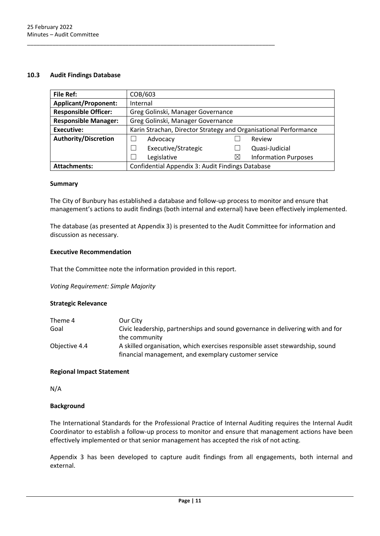#### <span id="page-10-0"></span>**10.3 Audit Findings Database**

| <b>File Ref:</b>            | COB/603                                                          |          |                             |
|-----------------------------|------------------------------------------------------------------|----------|-----------------------------|
| <b>Applicant/Proponent:</b> | Internal                                                         |          |                             |
| <b>Responsible Officer:</b> | Greg Golinski, Manager Governance                                |          |                             |
| <b>Responsible Manager:</b> | Greg Golinski, Manager Governance                                |          |                             |
| <b>Executive:</b>           | Karin Strachan, Director Strategy and Organisational Performance |          |                             |
| <b>Authority/Discretion</b> | Advocacy                                                         |          | Review                      |
|                             | Executive/Strategic                                              |          | Quasi-Judicial              |
|                             | Legislative                                                      | $\times$ | <b>Information Purposes</b> |
| <b>Attachments:</b>         | Confidential Appendix 3: Audit Findings Database                 |          |                             |

#### **Summary**

The City of Bunbury has established a database and follow-up process to monitor and ensure that management's actions to audit findings (both internal and external) have been effectively implemented.

The database (as presented at Appendix 3) is presented to the Audit Committee for information and discussion as necessary.

#### **Executive Recommendation**

That the Committee note the information provided in this report.

\_\_\_\_\_\_\_\_\_\_\_\_\_\_\_\_\_\_\_\_\_\_\_\_\_\_\_\_\_\_\_\_\_\_\_\_\_\_\_\_\_\_\_\_\_\_\_\_\_\_\_\_\_\_\_\_\_\_\_\_\_\_\_\_\_\_\_\_\_\_\_\_\_\_\_\_\_\_

*Voting Requirement: Simple Majority*

#### **Strategic Relevance**

| Theme 4       | Our City                                                                       |
|---------------|--------------------------------------------------------------------------------|
| Goal          | Civic leadership, partnerships and sound governance in delivering with and for |
|               | the community                                                                  |
| Objective 4.4 | A skilled organisation, which exercises responsible asset stewardship, sound   |
|               | financial management, and exemplary customer service                           |

#### **Regional Impact Statement**

N/A

#### **Background**

The International Standards for the Professional Practice of Internal Auditing requires the Internal Audit Coordinator to establish a follow-up process to monitor and ensure that management actions have been effectively implemented or that senior management has accepted the risk of not acting.

Appendix 3 has been developed to capture audit findings from all engagements, both internal and external.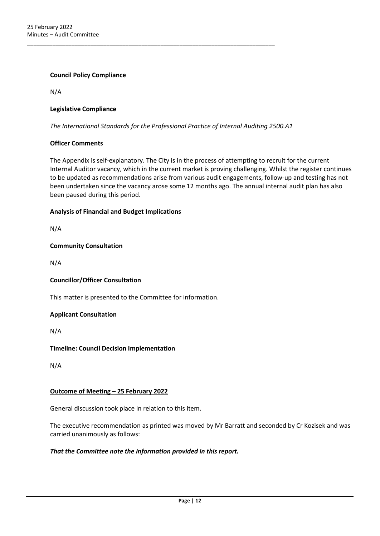### **Council Policy Compliance**

N/A

### **Legislative Compliance**

*The International Standards for the Professional Practice of Internal Auditing 2500.A1*

\_\_\_\_\_\_\_\_\_\_\_\_\_\_\_\_\_\_\_\_\_\_\_\_\_\_\_\_\_\_\_\_\_\_\_\_\_\_\_\_\_\_\_\_\_\_\_\_\_\_\_\_\_\_\_\_\_\_\_\_\_\_\_\_\_\_\_\_\_\_\_\_\_\_\_\_\_\_

### **Officer Comments**

The Appendix is self-explanatory. The City is in the process of attempting to recruit for the current Internal Auditor vacancy, which in the current market is proving challenging. Whilst the register continues to be updated as recommendations arise from various audit engagements, follow-up and testing has not been undertaken since the vacancy arose some 12 months ago. The annual internal audit plan has also been paused during this period.

### **Analysis of Financial and Budget Implications**

N/A

### **Community Consultation**

N/A

## **Councillor/Officer Consultation**

This matter is presented to the Committee for information.

#### **Applicant Consultation**

N/A

#### **Timeline: Council Decision Implementation**

N/A

## **Outcome of Meeting – 25 February 2022**

General discussion took place in relation to this item.

The executive recommendation as printed was moved by Mr Barratt and seconded by Cr Kozisek and was carried unanimously as follows:

## *That the Committee note the information provided in this report.*